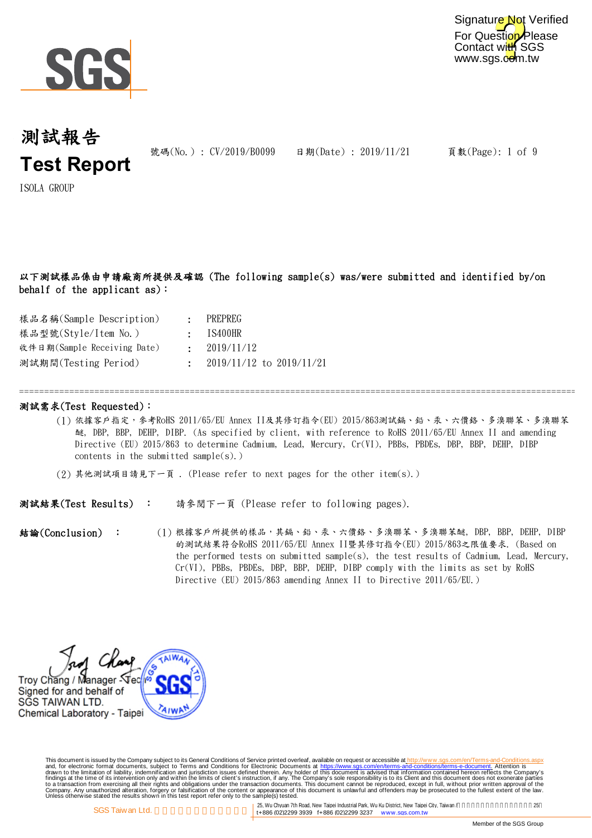

For Question Please Contact with SGS www.sgs.com.tw Signature Not Verified

## 測試報告 **Test Report**

號碼(No.): CV/2019/B0099 日期(Date): 2019/11/21

頁數(Page): 1 of 9

ISOLA GROUP

## 以下測試樣品係由申請廠商所提供及確認 (The following sample(s) was/were submitted and identified by/on behalf of the applicant as):

| 樣品名稱(Sample Description)    | PREPREG                        |
|-----------------------------|--------------------------------|
| 樣品型號(Style/Item No.)        | $:$ IS400HR                    |
| 收件日期(Sample Receiving Date) | : 2019/11/12                   |
| 測試期間(Testing Period)        | $: 2019/11/12$ to $2019/11/21$ |

### 測試需求(Test Requested):

(1) 依據客戶指定,參考RoHS 2011/65/EU Annex II及其修訂指令(EU) 2015/863測試鎘、鉛、汞、六價鉻、多溴聯苯、多溴聯苯 醚, DBP, BBP, DEHP, DIBP. (As specified by client, with reference to RoHS 2011/65/EU Annex II and amending Directive (EU) 2015/863 to determine Cadmium, Lead, Mercury, Cr(VI), PBBs, PBDEs, DBP, BBP, DEHP, DIBP contents in the submitted sample $(s)$ .)

=============================================================================================================================

(2) 其他測試項目請見下一頁 . (Please refer to next pages for the other item(s).)

測試結果(Test Results) : 請參閱下一頁 (Please refer to following pages).

(1) 根據客戶所提供的樣品,其鎬、鉛、汞、六價鉻、多溴聯苯、多溴聯苯醚, DBP, BBP, DEHP, DIBP 的測試結果符合RoHS 2011/65/EU Annex II暨其修訂指令(EU) 2015/863之限值要求. (Based on the performed tests on submitted sample(s), the test results of Cadmium, Lead, Mercury, Cr(VI), PBBs, PBDEs, DBP, BBP, DEHP, DIBP comply with the limits as set by RoHS Directive (EU) 2015/863 amending Annex II to Directive 2011/65/EU.) 結論(Conclusion) :

Troy Chang / Manager Stet Signed for and behalf of SĞS TAIWAN LTD. Chemical Laboratory - Taipei

This document is issued by the Company subject to Terms and Conditions of Service printed overleaf, available on request on electronic forms. asponsible to the Seneral Conditions for Electronic Documents at https://www.sgs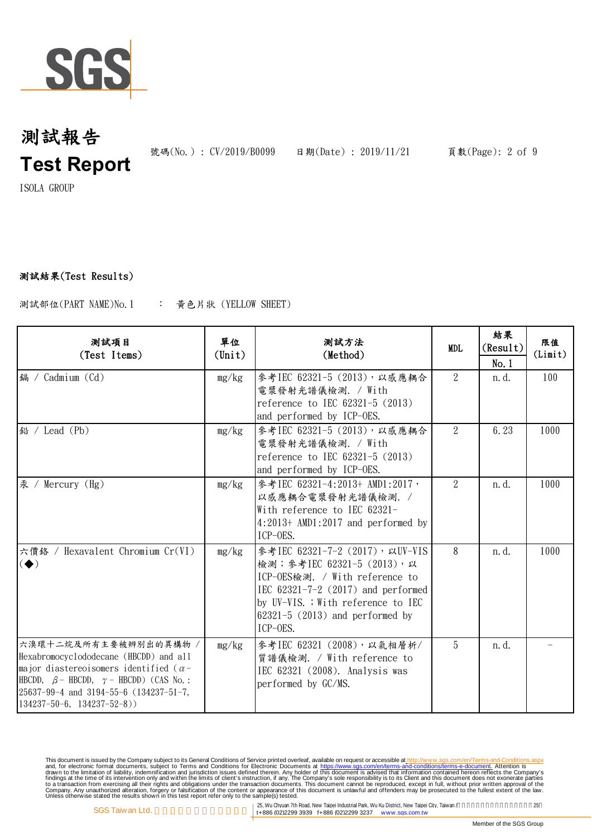

號碼(No.): CV/2019/B0099 日期(Date): 2019/11/21 頁數(Page): 2 of 9

ISOLA GROUP

## 測試結果(Test Results)

: 黃色片狀 (YELLOW SHEET) 測試部位(PART NAME)No.1

| 测試項目<br>(Test Items)                                                                                                                                                                                                                                           | 單位<br>$(\text{Unit})$ | 测試方法<br>(Method)                                                                                                                                                                                                                    | MDL.           | 結果<br>(Result)<br>No.1 | 限值<br>(Limit) |
|----------------------------------------------------------------------------------------------------------------------------------------------------------------------------------------------------------------------------------------------------------------|-----------------------|-------------------------------------------------------------------------------------------------------------------------------------------------------------------------------------------------------------------------------------|----------------|------------------------|---------------|
| 鎘 / Cadmium (Cd)                                                                                                                                                                                                                                               | mg/kg                 | 參考IEC 62321-5 (2013), 以感應耦合<br>電漿發射光譜儀檢測. / With<br>reference to IEC 62321-5 (2013)<br>and performed by ICP-OES.                                                                                                                    | $\overline{2}$ | n. d.                  | 100           |
| 鉛 / Lead (Pb)                                                                                                                                                                                                                                                  | mg/kg                 | 參考IEC 62321-5 (2013), 以感應耦合<br>電漿發射光譜儀檢測. / With<br>reference to IEC 62321-5 (2013)<br>and performed by ICP-OES.                                                                                                                    | $\overline{2}$ | 6.23                   | 1000          |
| 汞 / Mercury (Hg)                                                                                                                                                                                                                                               | mg/kg                 | 參考IEC 62321-4:2013+ AMD1:2017,<br>以感應耦合電漿發射光譜儀檢測. /<br>With reference to IEC 62321-<br>$4:2013+$ AMD1:2017 and performed by<br>ICP-OES.                                                                                             | $\mathcal{L}$  | n. d.                  | 1000          |
| 六價鉻 / Hexavalent Chromium Cr(VI)<br>$\left( \blacklozenge \right)$                                                                                                                                                                                             | mg/kg                 | 參考IEC 62321-7-2 (2017), 以UV-VIS<br>檢測;參考IEC 62321-5 (2013),以<br>ICP-OES檢測. / With reference to<br>IEC $62321 - 7 - 2$ (2017) and performed<br>by UV-VIS. ; With reference to IEC<br>$62321 - 5$ (2013) and performed by<br>ICP-OES. | 8              | n. d.                  | 1000          |
| 六溴環十二烷及所有主要被辨別出的異構物 /<br>Hexabromocyclododecane (HBCDD) and all<br>major diastereoisomers identified ( $\alpha$ -<br>HBCDD, $\beta$ – HBCDD, $\gamma$ – HBCDD) (CAS No. :<br>25637-99-4 and 3194-55-6 (134237-51-7,<br>$134237 - 50 - 6$ , $134237 - 52 - 8$ ) | mg/kg                 | 參考IEC 62321 (2008), 以氣相層析/<br>質譜儀檢測. / With reference to<br>IEC 62321 (2008). Analysis was<br>performed by GC/MS.                                                                                                                   | 5              | n. d.                  |               |

This document is issued by the Company subject to Terms and Conditions of Service printed overleaf, available on request on electronic forms. asponsible to the Seneral Conditions for Electronic Documents at https://www.sgs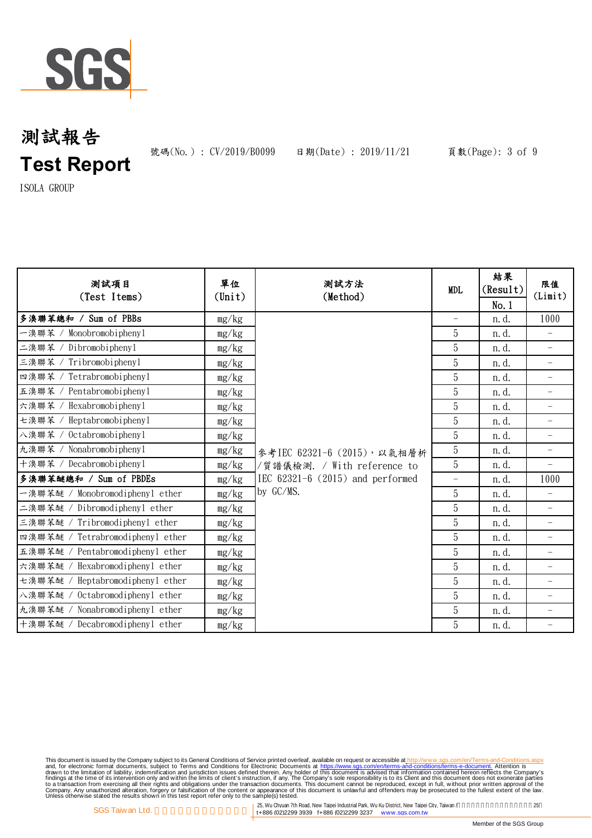

號碼(No.): CV/2019/B0099 日期(Date): 2019/11/21 頁數(Page): 3 of 9

ISOLA GROUP

| 测試項目<br>(Test Items)             | 單位<br>(Unit) | 测試方法<br>(Method)                                                                 | <b>MDL</b>               | 結果<br>(Result)<br>No.1 | 限值<br>(Limit)            |
|----------------------------------|--------------|----------------------------------------------------------------------------------|--------------------------|------------------------|--------------------------|
| 多溴聯苯總和 / Sum of PBBs             | mg/kg        |                                                                                  | $\overline{\phantom{m}}$ | n. d.                  | 1000                     |
| Monobromobiphenyl<br>一溴聯苯 /      | mg/kg        |                                                                                  | 5                        | n. d.                  |                          |
| 二溴聯苯<br>Dibromobiphenyl          | mg/kg        |                                                                                  | 5                        | n. d.                  | $\overline{\phantom{m}}$ |
| 三溴聯苯 /<br>Tribromobiphenyl       | mg/kg        |                                                                                  | 5                        | n. d.                  | $\qquad \qquad -$        |
| Tetrabromobiphenyl<br>四溴聯苯       | mg/kg        |                                                                                  | 5                        | n. d.                  | $\overline{\phantom{a}}$ |
| Pentabromobiphenyl<br>五溴聯苯 /     | mg/kg        |                                                                                  | 5                        | n. d.                  | $\overline{\phantom{m}}$ |
| Hexabromobiphenyl<br>六溴聯苯        | mg/kg        |                                                                                  | 5                        | n.d.                   | $\qquad \qquad -$        |
| 七溴聯苯<br>Heptabromobiphenyl       | mg/kg        |                                                                                  | 5                        | n.d.                   | $\qquad \qquad -$        |
| Octabromobiphenyl<br>八溴聯苯        | mg/kg        |                                                                                  | 5                        | n. d.                  | $\overline{\phantom{a}}$ |
| 九溴聯苯 /<br>Nonabromobi phenyl     | mg/kg        | 參考IEC 62321-6 (2015), 以氣相層析                                                      | 5                        | n. d.                  | $\qquad \qquad -$        |
| 十溴聯苯 /<br>Decabromobiphenyl      | mg/kg        | /質譜儀檢測. / With reference to<br>IEC $62321-6$ $(2015)$ and performed<br>by GC/MS. | 5                        | n.d.                   | $\qquad \qquad -$        |
| 多溴聯苯醚總和 / Sum of PBDEs           | mg/kg        |                                                                                  |                          | n.d.                   | 1000                     |
| 一溴聯苯醚 / Monobromodiphenyl ether  | mg/kg        |                                                                                  | 5                        | n. d.                  |                          |
| 二溴聯苯醚 / Dibromodiphenyl ether    | mg/kg        |                                                                                  | 5                        | n. d.                  |                          |
| 三溴聯苯醚 / Tribromodiphenyl ether   | mg/kg        |                                                                                  | 5                        | n. d.                  |                          |
| 四溴聯苯醚 / Tetrabromodiphenyl ether | mg/kg        |                                                                                  | 5                        | n. d.                  |                          |
| 五溴聯苯醚 / Pentabromodiphenyl ether | mg/kg        |                                                                                  | 5                        | n.d.                   | $\overline{\phantom{0}}$ |
| 六溴聯苯醚 / Hexabromodiphenyl ether  | mg/kg        |                                                                                  | 5                        | n.d.                   | $\overline{\phantom{a}}$ |
| 七溴聯苯醚 / Heptabromodiphenyl ether | mg/kg        |                                                                                  | 5                        | n.d.                   | $\overline{\phantom{a}}$ |
| 八溴聯苯醚 / Octabromodiphenyl ether  | mg/kg        |                                                                                  | 5                        | n. d.                  | $\qquad \qquad -$        |
| 九溴聯苯醚 / Nonabromodiphenyl ether  | mg/kg        |                                                                                  | 5                        | n. d.                  | $\qquad \qquad -$        |
| 十溴聯苯醚 / Decabromodiphenyl ether  | mg/kg        |                                                                                  | 5                        | n.d.                   | $\overline{\phantom{m}}$ |

This document is issued by the Company subject to Terms and Conditions of Service printed overleaf, available on request on electronic forms. asponsible to the Seneral Conditions for Electronic Documents at https://www.sgs

25, Wu Chyuan 7th Road, New Taipei Industrial Park, Wu Ku District, New Taipei City, Taiwan / 25<br>
125, Wu Chyuan 7th Road, New Taipei Industrial Park, Wu Ku District, New Taipei City, Taiwan / 25<br>
125, Wu Chyuan 7th Road,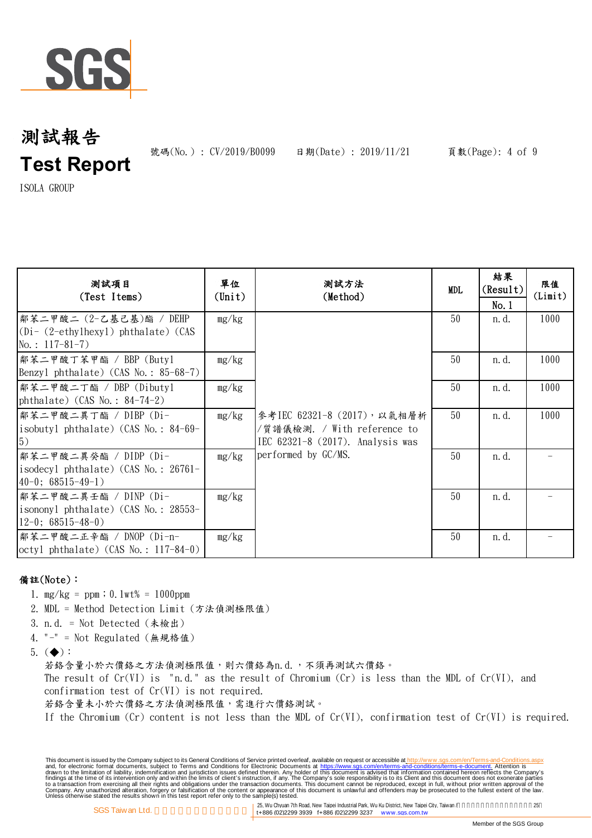

號碼(No.): CV/2019/B0099 日期(Date): 2019/11/21 頁數(Page): 4 of 9

ISOLA GROUP

| 测試項目<br>(Test Items)                                                                          | 單位<br>(Unit) | 測試方法<br>(Method)                                                                                                      | <b>MDL</b> | 結果<br>(Result)<br>No.1 | 限值<br>(Limit) |
|-----------------------------------------------------------------------------------------------|--------------|-----------------------------------------------------------------------------------------------------------------------|------------|------------------------|---------------|
| 鄭苯二甲酸二 (2-乙基己基)酯 / DEHP<br>$(Di - (2-\text{ethylhexyl})$ phthalate) (CAS<br>No.: $117-81-7$ ) | mg/kg        | 參考IEC 62321-8 (2017), 以氣相層析<br>/質譜儀檢測. / With reference to<br>IEC 62321-8 (2017). Analysis was<br>performed by GC/MS. | 50         | n. d.                  | 1000          |
| 鄰苯二甲酸丁苯甲酯 / BBP (Butyl<br>Benzyl phthalate) $(CAS No. : 85-68-7)$                             | mg/kg        |                                                                                                                       | 50         | n. d.                  | 1000          |
| 鄰苯二甲酸二丁酯 / DBP (Dibutyl<br>phthalate) (CAS No.: $84-74-2$ )                                   | mg/kg        |                                                                                                                       | 50         | n. d.                  | 1000          |
| 鄰苯二甲酸二異丁酯 / DIBP (Di-<br>isobutyl phthalate) (CAS No.: $84-69-$<br>5)                         | mg/kg        |                                                                                                                       | 50         | n. d.                  | 1000          |
| 鄰苯二甲酸二異癸酯 / DIDP (Di-<br>isodecyl phthalate) (CAS No.: 26761-<br>$40-0$ ; 68515-49-1)         | mg/kg        |                                                                                                                       | 50         | n. d.                  |               |
| 鄰苯二甲酸二異壬酯 / DINP (Di-<br>isononyl phthalate) (CAS No.: 28553-<br>$12-0$ ; 68515-48-0)         | mg/kg        |                                                                                                                       | 50         | n. d.                  |               |
| 鄰苯二甲酸二正辛酯 / DNOP (Di-n-<br>$octyl$ phthalate) (CAS No.: 117-84-0)                             | mg/kg        |                                                                                                                       | 50         | n. d.                  |               |

## 備註(Note):

- 1. mg/kg = ppm;0.1wt% = 1000ppm
- 2. MDL = Method Detection Limit (方法偵測極限值)
- 3. n.d. = Not Detected (未檢出)
- 4. "-" = Not Regulated (無規格值)

5.  $(\blacklozenge)$ :

若鉻含量小於六價鉻之方法偵測極限值,則六價鉻為n.d.,不須再測試六價鉻。

The result of  $Cr(VI)$  is "n.d." as the result of Chromium  $(Cr)$  is less than the MDL of  $Cr(VI)$ , and confirmation test of Cr(VI) is not required.

若絡含量未小於六價絡之方法偵測極限值,需進行六價絡測試。

If the Chromium (Cr) content is not less than the MDL of  $Cr(VI)$ , confirmation test of  $Cr(VI)$  is required.

This document is issued by the Company subject to Terms and Conditions of Service printed overleaf, available on request on electronic forms. asponsible to the Seneral Conditions for Electronic Documents at https://www.sgs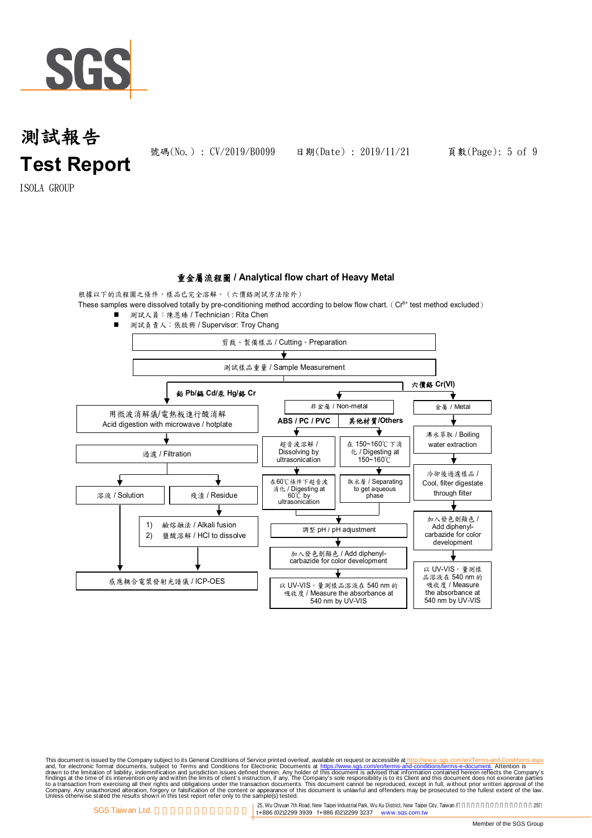

號碼(No.): CV/2019/B0099 日期(Date): 2019/11/21 頁數(Page): 5 of 9

ISOLA GROUP

### 重金屬流程圖 **/ Analytical flow chart of Heavy Metal**

根據以下的流程圖之條件,樣品已完全溶解。(六價鉻測試方法除外)

These samples were dissolved totally by pre-conditioning method according to below flow chart. ( $Cr<sup>6+</sup>$  test method excluded)

■ 測試人員:陳恩臻 / Technician : Rita Chen



This document is issued by the Company subject to Terms and Conditions of Service printed overleaf, available on request on electronic forms. asponsible to the Seneral Conditions for Electronic Documents at https://www.sgs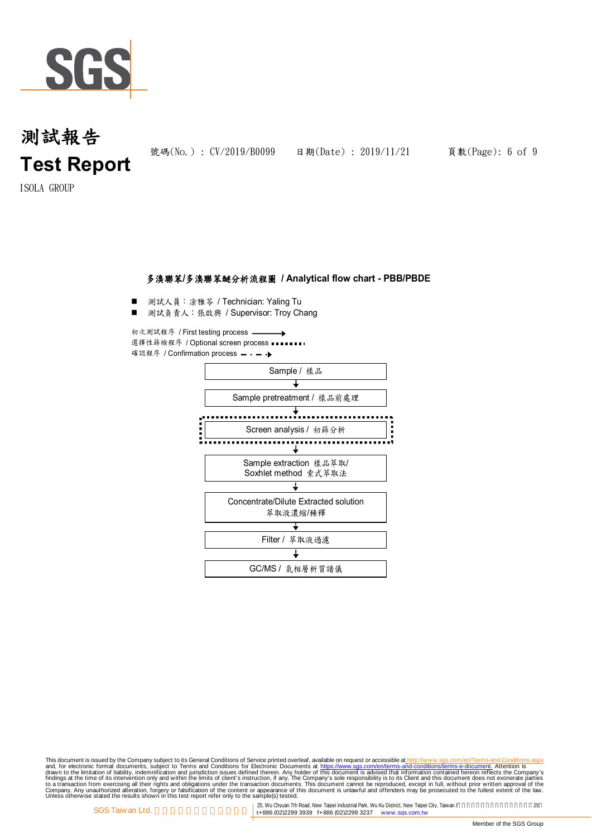

號碼(No.): CV/2019/B0099 日期(Date): 2019/11/21 頁數(Page): 6 of 9

ISOLA GROUP

### 多溴聯苯**/**多溴聯苯醚分析流程圖 **/ Analytical flow chart - PBB/PBDE**

- 測試人員:涂雅苓 / Technician: Yaling Tu
- 測試負責人:張啟興 / Supervisor: Troy Chang

初次測試程序 / First testing process 選擇性篩檢程序 / Optional screen process · · · 確認程序 / Confirmation process - - - - ▶



This document is issued by the Company subject to Terms and Conditions of Service printed overleaf, available on request on electronic forms. asponsible to the Seneral Conditions for Electronic Documents at https://www.sgs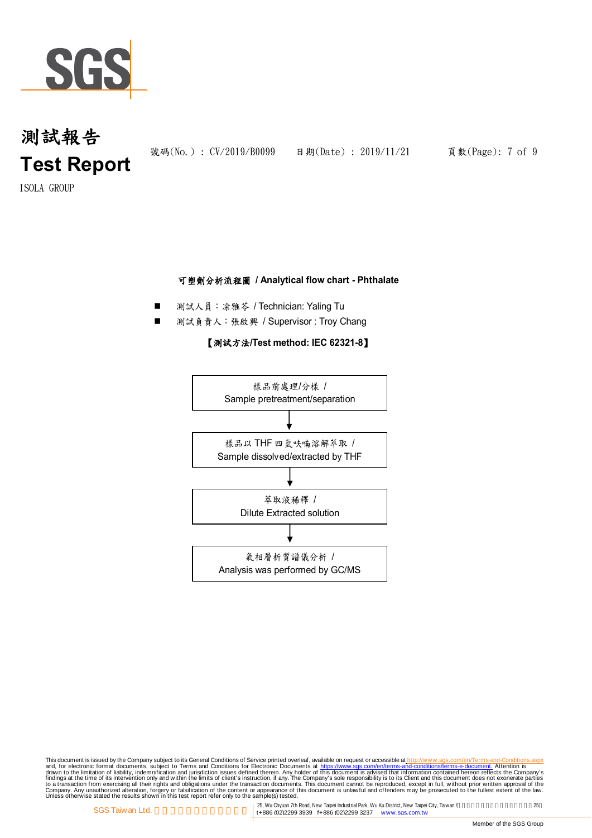

ISOLA GROUP

### 可塑劑分析流程圖 **/ Analytical flow chart - Phthalate**

- 測試人員:涂雅苓 / Technician: Yaling Tu
- 測試負責人:張啟興 / Supervisor : Troy Chang

### 【測試方法**/Test method: IEC 62321-8**】



This document is issued by the Company subject to Terms and Conditions of Service printed overleaf, available on request on electronic forms. asponsible to the Seneral Conditions for Electronic Documents at https://www.sgs

<sup>25,</sup> Wu Chyuan 7th Road, New Taipei Industrial Park, Wu Ku District, New Taipei City, Taiwan /<br>14886 (02)2299 3939 f+886 (02)2299 3237 www.sgs.com.tw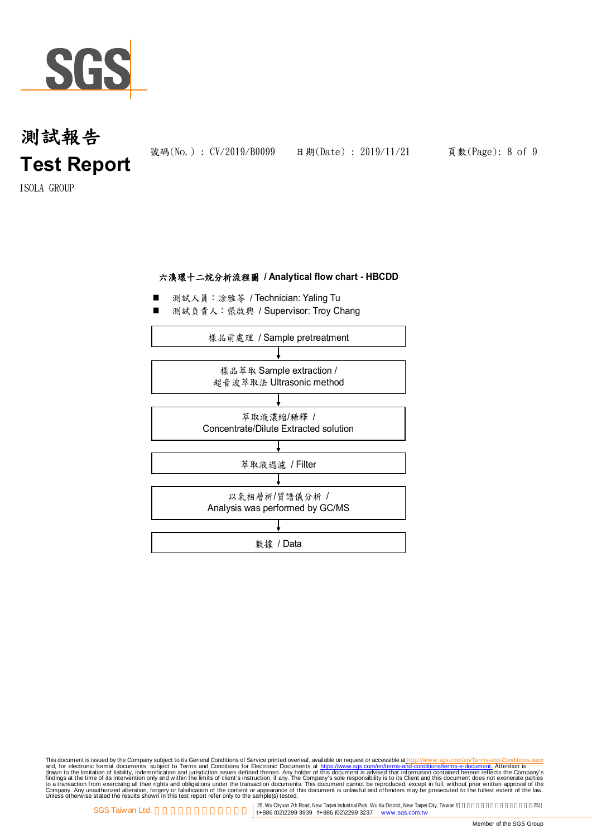

號碼(No.): CV/2019/B0099 日期(Date): 2019/11/21 頁數(Page): 8 of 9

ISOLA GROUP

### 六溴環十二烷分析流程圖 **/ Analytical flow chart - HBCDD**

- 測試人員:涂雅苓 / Technician: Yaling Tu
- 測試負責人:張啟興 / Supervisor: Troy Chang



This document is issued by the Company subject to Terms and Conditions of Service printed overleaf, available on request on electronic forms. asponsible to the Seneral Conditions for Electronic Documents at https://www.sgs